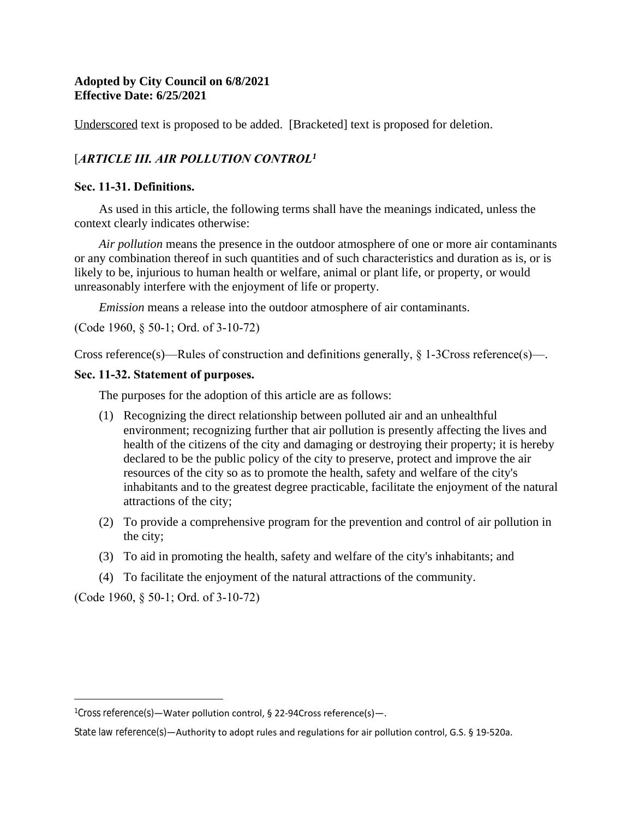# **Adopted by City Council on 6/8/2021 Effective Date: 6/25/2021**

Underscored text is proposed to be added. [Bracketed] text is proposed for deletion.

# [*ARTICLE III. AIR POLLUTION CONTROL<sup>1</sup>*

### **Sec. 11-31. Definitions.**

As used in this article, the following terms shall have the meanings indicated, unless the context clearly indicates otherwise:

*Air pollution* means the presence in the outdoor atmosphere of one or more air contaminants or any combination thereof in such quantities and of such characteristics and duration as is, or is likely to be, injurious to human health or welfare, animal or plant life, or property, or would unreasonably interfere with the enjoyment of life or property.

*Emission* means a release into the outdoor atmosphere of air contaminants.

(Code 1960, § 50-1; Ord. of 3-10-72)

Cross reference(s)—Rules of construction and definitions generally,  $\S 1$ -3Cross reference(s)—.

### **Sec. 11-32. Statement of purposes.**

The purposes for the adoption of this article are as follows:

- (1) Recognizing the direct relationship between polluted air and an unhealthful environment; recognizing further that air pollution is presently affecting the lives and health of the citizens of the city and damaging or destroying their property; it is hereby declared to be the public policy of the city to preserve, protect and improve the air resources of the city so as to promote the health, safety and welfare of the city's inhabitants and to the greatest degree practicable, facilitate the enjoyment of the natural attractions of the city;
- (2) To provide a comprehensive program for the prevention and control of air pollution in the city;
- (3) To aid in promoting the health, safety and welfare of the city's inhabitants; and
- (4) To facilitate the enjoyment of the natural attractions of the community.

(Code 1960, § 50-1; Ord. of 3-10-72)

<sup>1</sup>Cross reference(s)—Water pollution control, § 22-94Cross reference(s)—.

State law reference(s)—Authority to adopt rules and regulations for air pollution control, G.S. § 19-520a.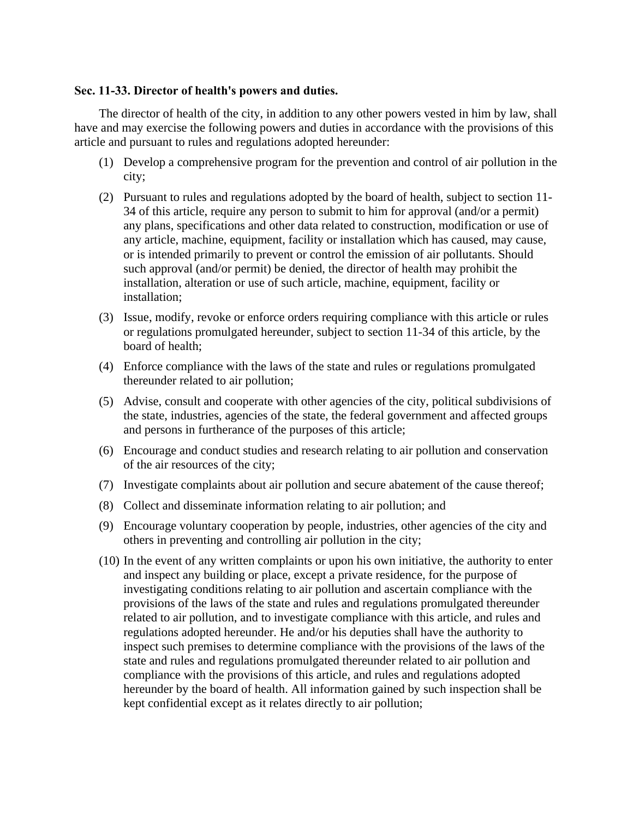### **Sec. 11-33. Director of health's powers and duties.**

The director of health of the city, in addition to any other powers vested in him by law, shall have and may exercise the following powers and duties in accordance with the provisions of this article and pursuant to rules and regulations adopted hereunder:

- (1) Develop a comprehensive program for the prevention and control of air pollution in the city;
- (2) Pursuant to rules and regulations adopted by the board of health, subject to section 11- 34 of this article, require any person to submit to him for approval (and/or a permit) any plans, specifications and other data related to construction, modification or use of any article, machine, equipment, facility or installation which has caused, may cause, or is intended primarily to prevent or control the emission of air pollutants. Should such approval (and/or permit) be denied, the director of health may prohibit the installation, alteration or use of such article, machine, equipment, facility or installation;
- (3) Issue, modify, revoke or enforce orders requiring compliance with this article or rules or regulations promulgated hereunder, subject to section 11-34 of this article, by the board of health;
- (4) Enforce compliance with the laws of the state and rules or regulations promulgated thereunder related to air pollution;
- (5) Advise, consult and cooperate with other agencies of the city, political subdivisions of the state, industries, agencies of the state, the federal government and affected groups and persons in furtherance of the purposes of this article;
- (6) Encourage and conduct studies and research relating to air pollution and conservation of the air resources of the city;
- (7) Investigate complaints about air pollution and secure abatement of the cause thereof;
- (8) Collect and disseminate information relating to air pollution; and
- (9) Encourage voluntary cooperation by people, industries, other agencies of the city and others in preventing and controlling air pollution in the city;
- (10) In the event of any written complaints or upon his own initiative, the authority to enter and inspect any building or place, except a private residence, for the purpose of investigating conditions relating to air pollution and ascertain compliance with the provisions of the laws of the state and rules and regulations promulgated thereunder related to air pollution, and to investigate compliance with this article, and rules and regulations adopted hereunder. He and/or his deputies shall have the authority to inspect such premises to determine compliance with the provisions of the laws of the state and rules and regulations promulgated thereunder related to air pollution and compliance with the provisions of this article, and rules and regulations adopted hereunder by the board of health. All information gained by such inspection shall be kept confidential except as it relates directly to air pollution;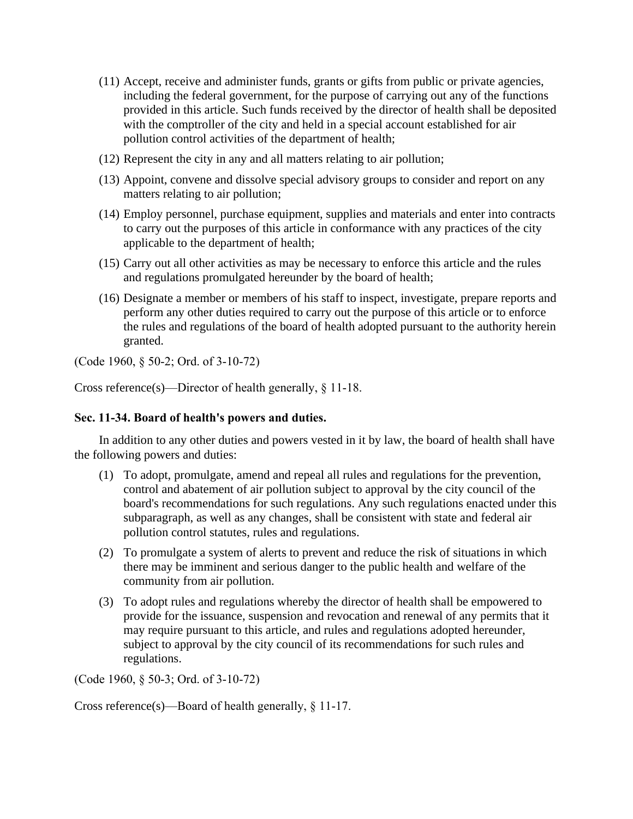- (11) Accept, receive and administer funds, grants or gifts from public or private agencies, including the federal government, for the purpose of carrying out any of the functions provided in this article. Such funds received by the director of health shall be deposited with the comptroller of the city and held in a special account established for air pollution control activities of the department of health;
- (12) Represent the city in any and all matters relating to air pollution;
- (13) Appoint, convene and dissolve special advisory groups to consider and report on any matters relating to air pollution;
- (14) Employ personnel, purchase equipment, supplies and materials and enter into contracts to carry out the purposes of this article in conformance with any practices of the city applicable to the department of health;
- (15) Carry out all other activities as may be necessary to enforce this article and the rules and regulations promulgated hereunder by the board of health;
- (16) Designate a member or members of his staff to inspect, investigate, prepare reports and perform any other duties required to carry out the purpose of this article or to enforce the rules and regulations of the board of health adopted pursuant to the authority herein granted.

(Code 1960, § 50-2; Ord. of 3-10-72)

Cross reference(s)—Director of health generally, § 11-18.

# **Sec. 11-34. Board of health's powers and duties.**

In addition to any other duties and powers vested in it by law, the board of health shall have the following powers and duties:

- (1) To adopt, promulgate, amend and repeal all rules and regulations for the prevention, control and abatement of air pollution subject to approval by the city council of the board's recommendations for such regulations. Any such regulations enacted under this subparagraph, as well as any changes, shall be consistent with state and federal air pollution control statutes, rules and regulations.
- (2) To promulgate a system of alerts to prevent and reduce the risk of situations in which there may be imminent and serious danger to the public health and welfare of the community from air pollution.
- (3) To adopt rules and regulations whereby the director of health shall be empowered to provide for the issuance, suspension and revocation and renewal of any permits that it may require pursuant to this article, and rules and regulations adopted hereunder, subject to approval by the city council of its recommendations for such rules and regulations.

(Code 1960, § 50-3; Ord. of 3-10-72)

Cross reference(s)—Board of health generally, § 11-17.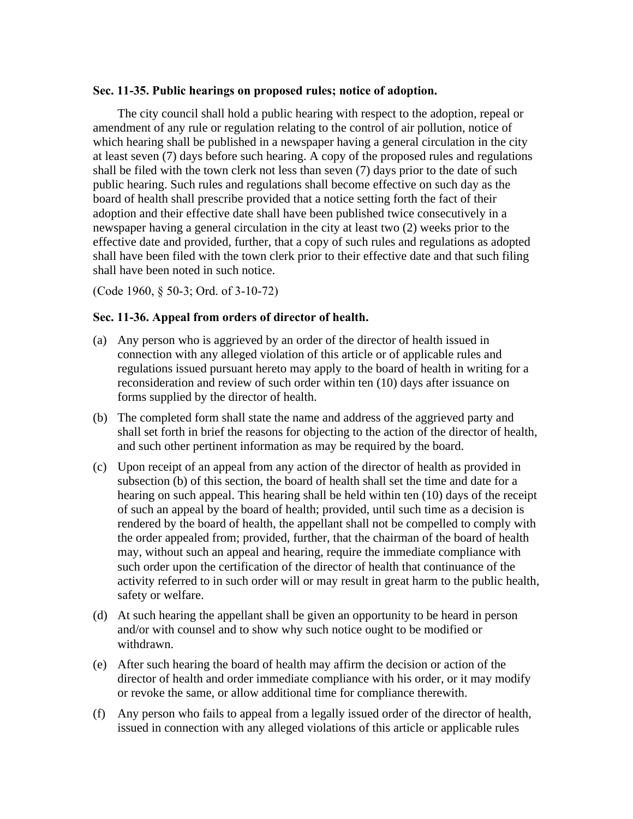#### **Sec. 11-35. Public hearings on proposed rules; notice of adoption.**

The city council shall hold a public hearing with respect to the adoption, repeal or amendment of any rule or regulation relating to the control of air pollution, notice of which hearing shall be published in a newspaper having a general circulation in the city at least seven (7) days before such hearing. A copy of the proposed rules and regulations shall be filed with the town clerk not less than seven (7) days prior to the date of such public hearing. Such rules and regulations shall become effective on such day as the board of health shall prescribe provided that a notice setting forth the fact of their adoption and their effective date shall have been published twice consecutively in a newspaper having a general circulation in the city at least two (2) weeks prior to the effective date and provided, further, that a copy of such rules and regulations as adopted shall have been filed with the town clerk prior to their effective date and that such filing shall have been noted in such notice.

(Code 1960, § 50-3; Ord. of 3-10-72)

#### **Sec. 11-36. Appeal from orders of director of health.**

- (a) Any person who is aggrieved by an order of the director of health issued in connection with any alleged violation of this article or of applicable rules and regulations issued pursuant hereto may apply to the board of health in writing for a reconsideration and review of such order within ten (10) days after issuance on forms supplied by the director of health.
- (b) The completed form shall state the name and address of the aggrieved party and shall set forth in brief the reasons for objecting to the action of the director of health, and such other pertinent information as may be required by the board.
- (c) Upon receipt of an appeal from any action of the director of health as provided in subsection (b) of this section, the board of health shall set the time and date for a hearing on such appeal. This hearing shall be held within ten (10) days of the receipt of such an appeal by the board of health; provided, until such time as a decision is rendered by the board of health, the appellant shall not be compelled to comply with the order appealed from; provided, further, that the chairman of the board of health may, without such an appeal and hearing, require the immediate compliance with such order upon the certification of the director of health that continuance of the activity referred to in such order will or may result in great harm to the public health, safety or welfare.
- (d) At such hearing the appellant shall be given an opportunity to be heard in person and/or with counsel and to show why such notice ought to be modified or withdrawn.
- (e) After such hearing the board of health may affirm the decision or action of the director of health and order immediate compliance with his order, or it may modify or revoke the same, or allow additional time for compliance therewith.
- (f) Any person who fails to appeal from a legally issued order of the director of health, issued in connection with any alleged violations of this article or applicable rules